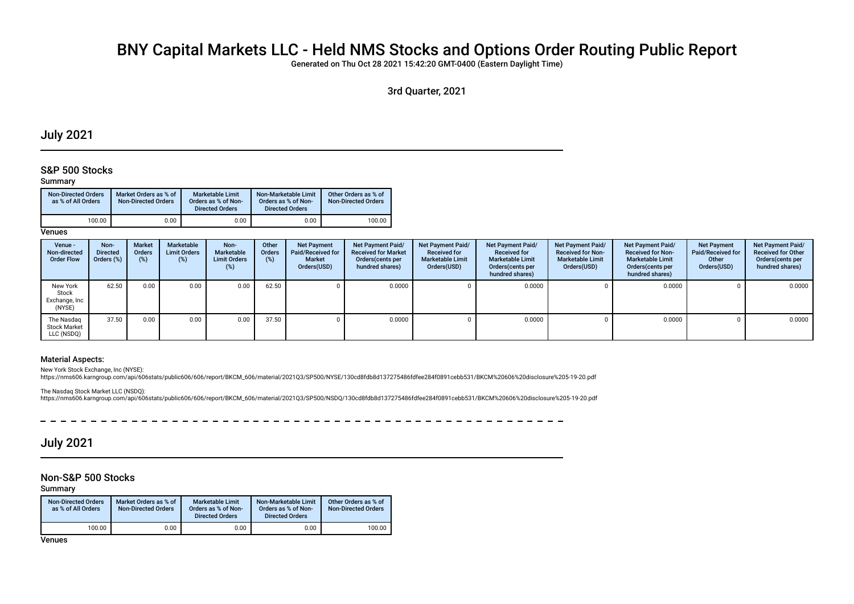# BNY Capital Markets LLC - Held NMS Stocks and Options Order Routing Public Report

Generated on Thu Oct 28 2021 15:42:20 GMT-0400 (Eastern Daylight Time)

3rd Quarter, 2021

## July 2021

## S&P 500 Stocks

### Summary

| <b>Non-Directed Orders</b><br>as % of All Orders | Market Orders as % of<br><b>Non-Directed Orders</b> | Marketable Limit<br>Orders as % of Non-<br><b>Directed Orders</b> | Non-Marketable Limit<br>Orders as % of Non-<br><b>Directed Orders</b> | Other Orders as % of<br>Non-Directed Orders |
|--------------------------------------------------|-----------------------------------------------------|-------------------------------------------------------------------|-----------------------------------------------------------------------|---------------------------------------------|
| 100.00                                           | 0.00                                                | 0.00                                                              | 0.00                                                                  | 100.00                                      |

**Venues** 

| Venue -<br>Non-directed<br><b>Order Flow</b>    | Non-<br><b>Directed</b><br>Orders (%) | <b>Market</b><br><b>Orders</b><br>$(\%)$ | Marketable<br><b>Limit Orders</b><br>(%) | Non-<br><b>Marketable</b><br><b>Limit Orders</b><br>(%) | Other<br>Orders<br>(%) | Net Payment<br>Paid/Received for<br>Market<br>Orders(USD) | <b>Net Payment Paid/</b><br><b>Received for Market</b><br>Orders (cents per<br>hundred shares) | Net Payment Paid/<br><b>Received for</b><br><b>Marketable Limit</b><br>Orders(USD) | Net Payment Paid/<br><b>Received for</b><br><b>Marketable Limit</b><br>Orders (cents per<br>hundred shares) | Net Payment Paid/<br><b>Received for Non-</b><br><b>Marketable Limit</b><br>Orders(USD) | Net Payment Paid/<br><b>Received for Non-</b><br><b>Marketable Limit</b><br>Orders(cents per<br>hundred shares) | <b>Net Payment</b><br>Paid/Received for<br>Other<br>Orders(USD) | <b>Net Payment Paid/</b><br><b>Received for Other</b><br>Orders(cents per<br>hundred shares) |
|-------------------------------------------------|---------------------------------------|------------------------------------------|------------------------------------------|---------------------------------------------------------|------------------------|-----------------------------------------------------------|------------------------------------------------------------------------------------------------|------------------------------------------------------------------------------------|-------------------------------------------------------------------------------------------------------------|-----------------------------------------------------------------------------------------|-----------------------------------------------------------------------------------------------------------------|-----------------------------------------------------------------|----------------------------------------------------------------------------------------------|
| New York<br>Stock<br>Exchange, Inc<br>(NYSE)    | 62.50                                 | 0.00                                     | 0.00                                     | 0.00                                                    | 62.50                  |                                                           | 0.0000                                                                                         |                                                                                    | 0.0000                                                                                                      |                                                                                         | 0.0000                                                                                                          |                                                                 | 0.0000                                                                                       |
| The Nasdag<br><b>Stock Market</b><br>LLC (NSDQ) | 37.50                                 | 0.00                                     | 0.00                                     | 0.00                                                    | 37.50                  |                                                           | 0.0000                                                                                         |                                                                                    | 0.0000                                                                                                      |                                                                                         | 0.0000                                                                                                          |                                                                 | 0.0000                                                                                       |

### Material Aspects:

New York Stock Exchange, Inc (NYSE):

https://nms606.karngroup.com/api/606stats/public606/606/report/BKCM\_606/material/2021Q3/SP500/NYSE/130cd8fdb8d137275486fdfee284f0891cebb531/BKCM%20606%20disclosure%205-19-20.pdf

The Nasdaq Stock Market LLC (NSDQ): https://nms606.karngroup.com/api/606stats/public606/606/report/BKCM\_606/material/2021Q3/SP500/NSDQ/130cd8fdb8d137275486fdfee284f0891cebb531/BKCM%20606%20disclosure%205-19-20.pdf

 $\sim$   $\sim$  $\sim$   $\sim$ 

## July 2021

## Non-S&P 500 Stocks

Summary

| <b>Non-Directed Orders</b><br>as % of All Orders | Market Orders as % of<br><b>Non-Directed Orders</b> | <b>Marketable Limit</b><br>Orders as % of Non-<br><b>Directed Orders</b> | Non-Marketable Limit<br>Orders as % of Non-<br><b>Directed Orders</b> | Other Orders as % of<br><b>Non-Directed Orders</b> |
|--------------------------------------------------|-----------------------------------------------------|--------------------------------------------------------------------------|-----------------------------------------------------------------------|----------------------------------------------------|
| 100.00                                           | 0.00                                                | 0.00                                                                     | 0.00                                                                  | 100.00                                             |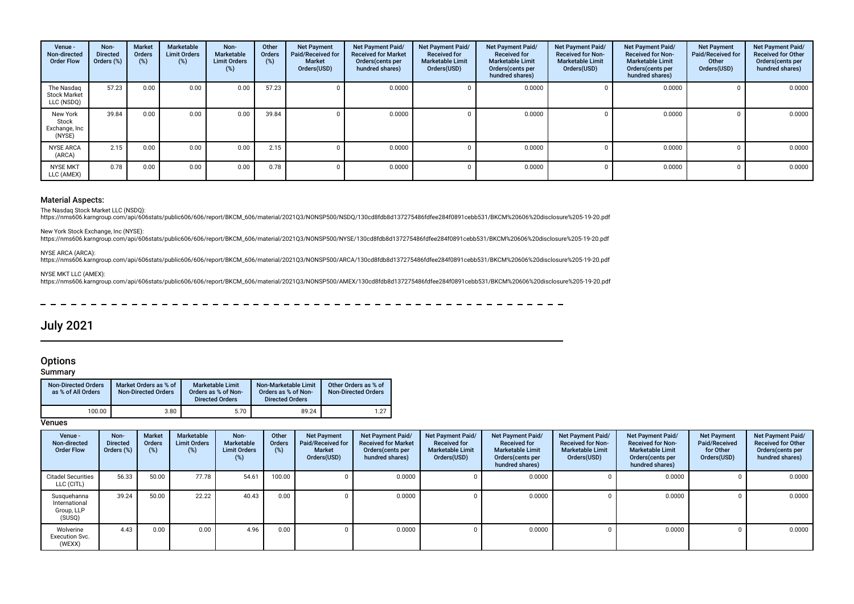| Venue -<br>Non-directed<br><b>Order Flow</b>    | Non-<br><b>Directed</b><br>Orders (%) | <b>Market</b><br>Orders<br>$(\%)$ | Marketable<br><b>Limit Orders</b><br>(%) | Non-<br>Marketable<br><b>Limit Orders</b><br>(%) | Other<br>Orders<br>(%) | <b>Net Payment</b><br>Paid/Received for<br><b>Market</b><br>Orders(USD) | Net Payment Paid/<br><b>Received for Market</b><br>Orders (cents per<br>hundred shares) | Net Payment Paid/<br><b>Received for</b><br><b>Marketable Limit</b><br>Orders(USD) | Net Payment Paid/<br><b>Received for</b><br><b>Marketable Limit</b><br>Orders(cents per<br>hundred shares) | Net Payment Paid/<br><b>Received for Non-</b><br><b>Marketable Limit</b><br>Orders(USD) | <b>Net Payment Paid/</b><br><b>Received for Non-</b><br><b>Marketable Limit</b><br>Orders (cents per<br>hundred shares) | <b>Net Payment</b><br><b>Paid/Received for</b><br>Other<br>Orders(USD) | Net Payment Paid/<br><b>Received for Other</b><br>Orders(cents per<br>hundred shares) |
|-------------------------------------------------|---------------------------------------|-----------------------------------|------------------------------------------|--------------------------------------------------|------------------------|-------------------------------------------------------------------------|-----------------------------------------------------------------------------------------|------------------------------------------------------------------------------------|------------------------------------------------------------------------------------------------------------|-----------------------------------------------------------------------------------------|-------------------------------------------------------------------------------------------------------------------------|------------------------------------------------------------------------|---------------------------------------------------------------------------------------|
| The Nasdag<br><b>Stock Market</b><br>LLC (NSDQ) | 57.23                                 | 0.00                              | 0.00                                     | 0.00                                             | 57.23                  |                                                                         | 0.0000                                                                                  |                                                                                    | 0.0000                                                                                                     |                                                                                         | 0.0000                                                                                                                  |                                                                        | 0.0000                                                                                |
| New York<br>Stock<br>Exchange, Inc<br>(NYSE)    | 39.84                                 | 0.00                              | 0.00                                     | 0.00                                             | 39.84                  |                                                                         | 0.0000                                                                                  |                                                                                    | 0.0000                                                                                                     |                                                                                         | 0.0000                                                                                                                  |                                                                        | 0.0000                                                                                |
| <b>NYSE ARCA</b><br>(ARCA)                      | 2.15                                  | 0.00                              | 0.00                                     | 0.00                                             | 2.15                   |                                                                         | 0.0000                                                                                  |                                                                                    | 0.0000                                                                                                     |                                                                                         | 0.0000                                                                                                                  |                                                                        | 0.0000                                                                                |
| <b>NYSE MKT</b><br>LLC (AMEX)                   | 0.78                                  | 0.00                              | 0.00                                     | 0.00                                             | 0.78                   |                                                                         | 0.0000                                                                                  |                                                                                    | 0.0000                                                                                                     |                                                                                         | 0.0000                                                                                                                  |                                                                        | 0.0000                                                                                |

The Nasdaq Stock Market LLC (NSDQ):

https://nms606.karngroup.com/api/606stats/public606/606/report/BKCM\_606/material/2021Q3/NONSP500/NSDQ/130cd8fdb8d137275486fdfee284f0891cebb531/BKCM%20606%20disclosure%205-19-20.pdf

New York Stock Exchange, Inc (NYSE):

https://nms606.karngroup.com/api/606stats/public606/606/report/BKCM\_606/material/2021Q3/NONSP500/NYSE/130cd8fdb8d137275486fdfee284f0891cebb531/BKCM%20606%20disclosure%205-19-20.pdf

## NYSE ARCA (ARCA):

https://nms606.karngroup.com/api/606stats/public606/606/report/BKCM\_606/material/2021Q3/NONSP500/ARCA/130cd8fdb8d137275486fdfee284f0891cebb531/BKCM%20606%20disclosure%205-19-20.pdf

#### NYSE MKT LLC (AMEX):

https://nms606.karngroup.com/api/606stats/public606/606/report/BKCM\_606/material/2021Q3/NONSP500/AMEX/130cd8fdb8d137275486fdfee284f0891cebb531/BKCM%20606%20disclosure%205-19-20.pdf

## July 2021

## **Options**

**Summary** 

| <b>Non-Directed Orders</b><br>as % of All Orders | Market Orders as % of<br><b>Non-Directed Orders</b> | Marketable Limit<br>Orders as % of Non-<br><b>Directed Orders</b> | Non-Marketable Limit<br>Orders as % of Non-<br><b>Directed Orders</b> | Other Orders as % of<br><b>Non-Directed Orders</b> |
|--------------------------------------------------|-----------------------------------------------------|-------------------------------------------------------------------|-----------------------------------------------------------------------|----------------------------------------------------|
| 100.00                                           | 3.80                                                | 5.70                                                              | 89.24                                                                 | 1.27                                               |

| Venue -<br>Non-directed<br><b>Order Flow</b>         | Non-<br><b>Directed</b><br>Orders (%) | <b>Market</b><br>Orders<br>(%) | Marketable<br><b>Limit Orders</b><br>$(\%)$ | Non-<br>Marketable<br><b>Limit Orders</b><br>(%) | Other<br><b>Orders</b><br>(%) | <b>Net Payment</b><br>Paid/Received for<br><b>Market</b><br>Orders(USD) | Net Payment Paid/<br><b>Received for Market</b><br>Orders(cents per<br>hundred shares) | Net Payment Paid/<br><b>Received for</b><br><b>Marketable Limit</b><br>Orders(USD) | Net Payment Paid/<br><b>Received for</b><br><b>Marketable Limit</b><br>Orders(cents per<br>hundred shares) | <b>Net Payment Paid/</b><br><b>Received for Non-</b><br><b>Marketable Limit</b><br>Orders(USD) | <b>Net Payment Paid/</b><br><b>Received for Non-</b><br><b>Marketable Limit</b><br>Orders (cents per<br>hundred shares) | <b>Net Payment</b><br>Paid/Received<br>for Other<br>Orders(USD) | <b>Net Payment Paid/</b><br><b>Received for Other</b><br>Orders(cents per<br>hundred shares) |
|------------------------------------------------------|---------------------------------------|--------------------------------|---------------------------------------------|--------------------------------------------------|-------------------------------|-------------------------------------------------------------------------|----------------------------------------------------------------------------------------|------------------------------------------------------------------------------------|------------------------------------------------------------------------------------------------------------|------------------------------------------------------------------------------------------------|-------------------------------------------------------------------------------------------------------------------------|-----------------------------------------------------------------|----------------------------------------------------------------------------------------------|
| <b>Citadel Securities</b><br>LLC (CITL)              | 56.33                                 | 50.00                          | 77.78                                       | 54.61                                            | 100.00                        |                                                                         | 0.0000                                                                                 |                                                                                    | 0.0000                                                                                                     |                                                                                                | 0.0000                                                                                                                  |                                                                 | 0.0000                                                                                       |
| Susquehanna<br>International<br>Group, LLP<br>(SUSQ) | 39.24                                 | 50.00                          | 22.22                                       | 40.43                                            | 0.00                          |                                                                         | 0.0000                                                                                 |                                                                                    | 0.0000                                                                                                     |                                                                                                | 0.0000                                                                                                                  |                                                                 | 0.0000                                                                                       |
| Wolverine<br><b>Execution Svc.</b><br>(WEXX)         | 4.43                                  | 0.00                           | 0.00                                        | 4.96                                             | 0.00                          |                                                                         | 0.0000                                                                                 |                                                                                    | 0.0000                                                                                                     |                                                                                                | 0.0000                                                                                                                  |                                                                 | 0.0000                                                                                       |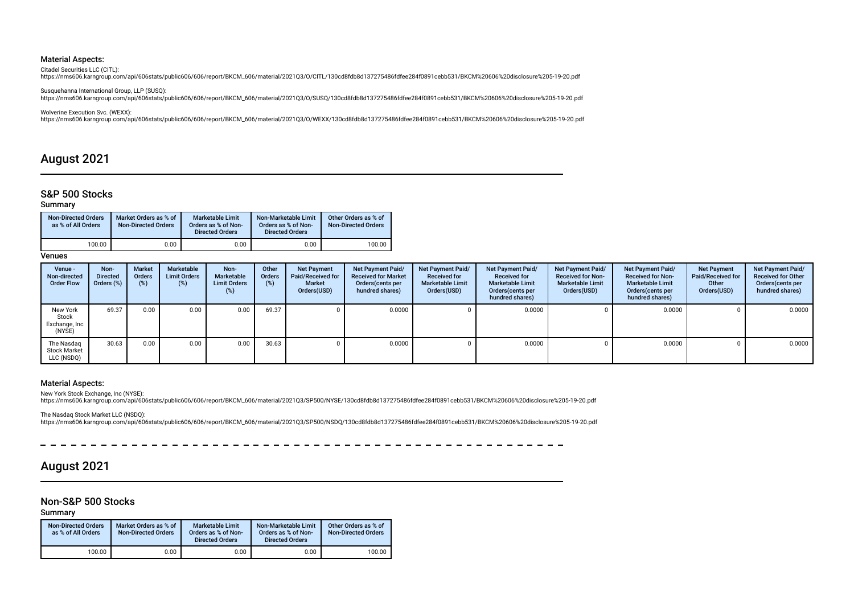Citadel Securities LLC (CITL):

https://nms606.karngroup.com/api/606stats/public606/606/report/BKCM\_606/material/2021Q3/O/CITL/130cd8fdb8d137275486fdfee284f0891cebb531/BKCM%20606%20disclosure%205-19-20.pdf

Susquehanna International Group, LLP (SUSQ): https://nms606.karngroup.com/api/606stats/public606/606/report/BKCM\_606/material/2021Q3/O/SUSQ/130cd8fdb8d137275486fdfee284f0891cebb531/BKCM%20606%20disclosure%205-19-20.pdf

Wolverine Execution Svc. (WEXX):

https://nms606.karngroup.com/api/606stats/public606/606/report/BKCM\_606/material/2021Q3/O/WEXX/130cd8fdb8d137275486fdfee284f0891cebb531/BKCM%20606%20disclosure%205-19-20.pdf

## August 2021

### S&P 500 Stocks

#### Summary

| <b>Non-Directed Orders</b><br>as % of All Orders | Market Orders as % of<br><b>Non-Directed Orders</b> | <b>Marketable Limit</b><br>Orders as % of Non-<br><b>Directed Orders</b> | Non-Marketable Limit<br>Orders as % of Non-<br><b>Directed Orders</b> | Other Orders as % of<br><b>Non-Directed Orders</b> |
|--------------------------------------------------|-----------------------------------------------------|--------------------------------------------------------------------------|-----------------------------------------------------------------------|----------------------------------------------------|
| 100.00                                           | 0.00                                                | 0.00                                                                     | 0.00                                                                  | 100.00                                             |

**Venues** 

| Venue -<br>Non-directed<br><b>Order Flow</b>    | Non-<br><b>Directed</b><br>Orders (%) | <b>Market</b><br>Orders<br>(% ) | Marketable<br><b>Limit Orders</b><br>$(\%)$ | Non-<br>Marketable<br><b>Limit Orders</b><br>(%) | Other<br><b>Orders</b><br>$(\%)$ | <b>Net Payment</b><br>Paid/Received for<br><b>Market</b><br>Orders(USD) | Net Payment Paid/<br><b>Received for Market</b><br>Orders (cents per<br>hundred shares) | Net Payment Paid/<br><b>Received for</b><br><b>Marketable Limit</b><br>Orders(USD) | <b>Net Payment Paid/</b><br><b>Received for</b><br><b>Marketable Limit</b><br>Orders (cents per<br>hundred shares) | Net Payment Paid/<br><b>Received for Non-</b><br><b>Marketable Limit</b><br>Orders(USD) | Net Payment Paid/<br><b>Received for Non-</b><br><b>Marketable Limit</b><br>Orders (cents per<br>hundred shares) | <b>Net Payment</b><br>Paid/Received for<br>Other<br>Orders(USD) | <b>Net Payment Paid/</b><br><b>Received for Other</b><br>Orders(cents per<br>hundred shares) |
|-------------------------------------------------|---------------------------------------|---------------------------------|---------------------------------------------|--------------------------------------------------|----------------------------------|-------------------------------------------------------------------------|-----------------------------------------------------------------------------------------|------------------------------------------------------------------------------------|--------------------------------------------------------------------------------------------------------------------|-----------------------------------------------------------------------------------------|------------------------------------------------------------------------------------------------------------------|-----------------------------------------------------------------|----------------------------------------------------------------------------------------------|
| New York<br>Stock<br>Exchange, Inc<br>(NYSE)    | 69.37                                 | 0.00                            | 0.00                                        | 0.00                                             | 69.37                            |                                                                         | 0.0000                                                                                  |                                                                                    | 0.0000                                                                                                             |                                                                                         | 0.0000                                                                                                           |                                                                 | 0.0000                                                                                       |
| The Nasdag<br><b>Stock Market</b><br>LLC (NSDQ) | 30.63                                 | 0.00                            | 0.00                                        | 0.00                                             | 30.63                            |                                                                         | 0.0000                                                                                  |                                                                                    | 0.0000                                                                                                             |                                                                                         | 0.0000                                                                                                           |                                                                 | 0.0000                                                                                       |

 $\equiv$  $\overline{\phantom{a}}$   $-$ 

#### Material Aspects:

New York Stock Exchange, Inc (NYSE): https://nms606.karngroup.com/api/606stats/public606/606/report/BKCM\_606/material/2021Q3/SP500/NYSE/130cd8fdb8d137275486fdfee284f0891cebb531/BKCM%20606%20disclosure%205-19-20.pdf

The Nasdaq Stock Market LLC (NSDQ):<br>https://nms606.karngroup.com/api/606stats/public606/606/report/BKCM\_606/material/2021Q3/SP500/NSDQ/130cd8fdb8d137275486fdfee284f0891cebb531/BKCM%20606%20disclosure%205-19-20.pdf

 $\overline{\phantom{a}}$  $\overline{\phantom{a}}$ 

#### $\sim$   $\sim$  $-$

 $\sim$ 

## August 2021

### Non-S&P 500 Stocks

 $=$   $=$   $=$   $=$ 

Summary

| <b>Non-Directed Orders</b><br>as % of All Orders | Market Orders as % of<br><b>Non-Directed Orders</b> | Marketable Limit<br>Orders as % of Non-<br><b>Directed Orders</b> | Non-Marketable Limit<br>Orders as % of Non-<br><b>Directed Orders</b> | Other Orders as % of<br><b>Non-Directed Orders</b> |
|--------------------------------------------------|-----------------------------------------------------|-------------------------------------------------------------------|-----------------------------------------------------------------------|----------------------------------------------------|
| 100.00                                           | 0.00                                                | 0.00                                                              | 0.00                                                                  | 100.00                                             |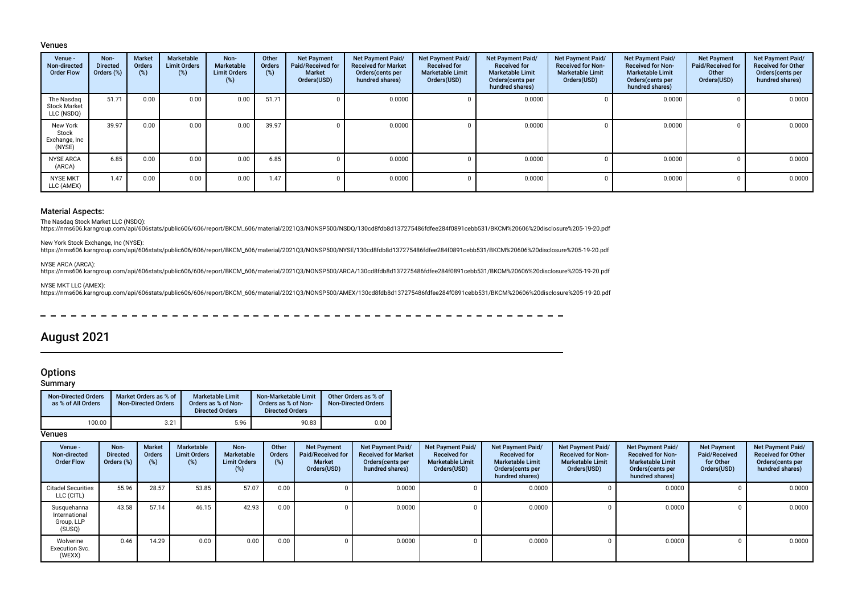#### Venues

| Venue -<br>Non-directed<br><b>Order Flow</b>    | Non-<br><b>Directed</b><br>Orders (%) | <b>Market</b><br>Orders<br>$(\%)$ | Marketable<br><b>Limit Orders</b><br>$(\%)$ | Non-<br>Marketable<br><b>Limit Orders</b><br>(%) | Other<br>Orders<br>(%) | <b>Net Payment</b><br>Paid/Received for<br><b>Market</b><br>Orders(USD) | <b>Net Payment Paid/</b><br><b>Received for Market</b><br>Orders(cents per<br>hundred shares) | Net Payment Paid/<br><b>Received for</b><br><b>Marketable Limit</b><br>Orders(USD) | Net Payment Paid/<br><b>Received for</b><br><b>Marketable Limit</b><br>Orders(cents per<br>hundred shares) | Net Payment Paid/<br><b>Received for Non-</b><br><b>Marketable Limit</b><br>Orders(USD) | <b>Net Payment Paid/</b><br><b>Received for Non-</b><br><b>Marketable Limit</b><br>Orders (cents per<br>hundred shares) | <b>Net Payment</b><br><b>Paid/Received for</b><br>Other<br>Orders(USD) | Net Payment Paid/<br><b>Received for Other</b><br>Orders(cents per<br>hundred shares) |
|-------------------------------------------------|---------------------------------------|-----------------------------------|---------------------------------------------|--------------------------------------------------|------------------------|-------------------------------------------------------------------------|-----------------------------------------------------------------------------------------------|------------------------------------------------------------------------------------|------------------------------------------------------------------------------------------------------------|-----------------------------------------------------------------------------------------|-------------------------------------------------------------------------------------------------------------------------|------------------------------------------------------------------------|---------------------------------------------------------------------------------------|
| The Nasdag<br><b>Stock Market</b><br>LLC (NSDQ) | 51.71                                 | 0.00                              | 0.00                                        | 0.00                                             | 51.71                  |                                                                         | 0.0000                                                                                        |                                                                                    | 0.0000                                                                                                     |                                                                                         | 0.0000                                                                                                                  | -0                                                                     | 0.0000                                                                                |
| New York<br>Stock<br>Exchange, Inc<br>(NYSE)    | 39.97                                 | 0.00                              | 0.00                                        | 0.00                                             | 39.97                  |                                                                         | 0.0000                                                                                        |                                                                                    | 0.0000                                                                                                     |                                                                                         | 0.0000                                                                                                                  |                                                                        | 0.0000                                                                                |
| <b>NYSE ARCA</b><br>(ARCA)                      | 6.85                                  | 0.00                              | 0.00                                        | 0.00                                             | 6.85                   |                                                                         | 0.0000                                                                                        |                                                                                    | 0.0000                                                                                                     |                                                                                         | 0.0000                                                                                                                  |                                                                        | 0.0000                                                                                |
| <b>NYSE MKT</b><br>LLC (AMEX)                   | 1.47                                  | 0.00                              | 0.00                                        | 0.00                                             | 1.47                   |                                                                         | 0.0000                                                                                        |                                                                                    | 0.0000                                                                                                     |                                                                                         | 0.0000                                                                                                                  |                                                                        | 0.0000                                                                                |

#### Material Aspects:

The Nasdaq Stock Market LLC (NSDQ):

https://nms606.karngroup.com/api/606stats/public606/606/report/BKCM\_606/material/2021Q3/NONSP500/NSDQ/130cd8fdb8d137275486fdfee284f0891cebb531/BKCM%20606%20disclosure%205-19-20.pdf

New York Stock Exchange, Inc (NYSE):

https://nms606.karngroup.com/api/606stats/public606/606/report/BKCM\_606/material/2021Q3/NONSP500/NYSE/130cd8fdb8d137275486fdfee284f0891cebb531/BKCM%20606%20disclosure%205-19-20.pdf

#### NYSE ARCA (ARCA):

https://nms606.karngroup.com/api/606stats/public606/606/report/BKCM\_606/material/2021Q3/NONSP500/ARCA/130cd8fdb8d137275486fdfee284f0891cebb531/BKCM%20606%20disclosure%205-19-20.pdf

NYSE MKT LLC (AMEX):

https://nms606.karngroup.com/api/606stats/public606/606/report/BKCM\_606/material/2021Q3/NONSP500/AMEX/130cd8fdb8d137275486fdfee284f0891cebb531/BKCM%20606%20disclosure%205-19-20.pdf

 $\sim$  $\overline{\phantom{0}}$ 

## August 2021

## **Options**

Summary

| <b>Non-Directed Orders</b><br>as % of All Orders | Market Orders as % of<br><b>Non-Directed Orders</b> | Marketable Limit<br>Orders as % of Non-<br><b>Directed Orders</b> | Non-Marketable Limit<br>Orders as % of Non-<br><b>Directed Orders</b> | Other Orders as % of<br><b>Non-Directed Orders</b> |
|--------------------------------------------------|-----------------------------------------------------|-------------------------------------------------------------------|-----------------------------------------------------------------------|----------------------------------------------------|
| 100.00                                           | 3.21                                                | 5.96                                                              | 90.83                                                                 | 0.00                                               |

| Venue -<br>Non-directed<br><b>Order Flow</b>         | Non-<br><b>Directed</b><br>Orders (%) | <b>Market</b><br><b>Orders</b><br>(%) | Marketable<br><b>Limit Orders</b><br>(%) | Non-<br>Marketable<br><b>Limit Orders</b><br>(%) | Other<br>Orders<br>(%) | <b>Net Payment</b><br>Paid/Received for<br><b>Market</b><br>Orders(USD) | <b>Net Payment Paid/</b><br><b>Received for Market</b><br>Orders(cents per<br>hundred shares) | <b>Net Payment Paid/</b><br><b>Received for</b><br><b>Marketable Limit</b><br>Orders(USD) | Net Payment Paid/<br><b>Received for</b><br><b>Marketable Limit</b><br>Orders (cents per<br>hundred shares) | Net Payment Paid/<br><b>Received for Non-</b><br><b>Marketable Limit</b><br>Orders(USD) | Net Payment Paid/<br><b>Received for Non-</b><br><b>Marketable Limit</b><br>Orders(cents per<br>hundred shares) | <b>Net Payment</b><br>Paid/Received<br>for Other<br>Orders(USD) | Net Payment Paid/<br><b>Received for Other</b><br>Orders(cents per<br>hundred shares) |
|------------------------------------------------------|---------------------------------------|---------------------------------------|------------------------------------------|--------------------------------------------------|------------------------|-------------------------------------------------------------------------|-----------------------------------------------------------------------------------------------|-------------------------------------------------------------------------------------------|-------------------------------------------------------------------------------------------------------------|-----------------------------------------------------------------------------------------|-----------------------------------------------------------------------------------------------------------------|-----------------------------------------------------------------|---------------------------------------------------------------------------------------|
| <b>Citadel Securities</b><br>LLC (CITL)              | 55.96                                 | 28.57                                 | 53.85                                    | 57.07                                            | 0.00                   |                                                                         | 0.0000                                                                                        |                                                                                           | 0.0000                                                                                                      |                                                                                         | 0.0000                                                                                                          |                                                                 | 0.0000                                                                                |
| Susquehanna<br>International<br>Group, LLP<br>(SUSQ) | 43.58                                 | 57.14                                 | 46.15                                    | 42.93                                            | 0.00                   |                                                                         | 0.0000                                                                                        |                                                                                           | 0.0000                                                                                                      |                                                                                         | 0.0000                                                                                                          |                                                                 | 0.0000                                                                                |
| Wolverine<br><b>Execution Svc.</b><br>(WEXX)         | 0.46                                  | 14.29                                 | 0.00                                     | 0.00                                             | 0.00                   |                                                                         | 0.0000                                                                                        |                                                                                           | 0.0000                                                                                                      |                                                                                         | 0.0000                                                                                                          |                                                                 | 0.0000                                                                                |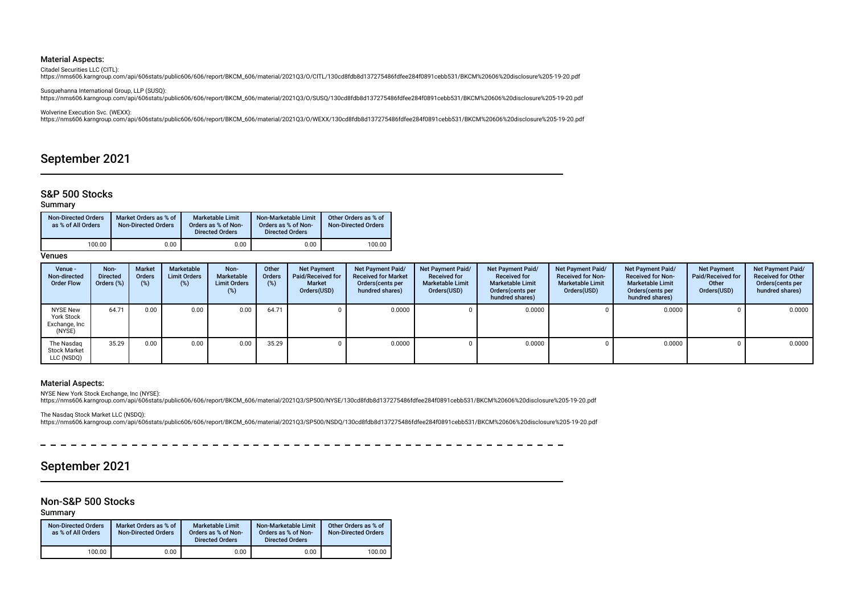Citadel Securities LLC (CITL):

https://nms606.karngroup.com/api/606stats/public606/606/report/BKCM\_606/material/2021Q3/O/CITL/130cd8fdb8d137275486fdfee284f0891cebb531/BKCM%20606%20disclosure%205-19-20.pdf

Susquehanna International Group, LLP (SUSQ): https://nms606.karngroup.com/api/606stats/public606/606/report/BKCM\_606/material/2021Q3/O/SUSQ/130cd8fdb8d137275486fdfee284f0891cebb531/BKCM%20606%20disclosure%205-19-20.pdf

Wolverine Execution Svc. (WEXX):

https://nms606.karngroup.com/api/606stats/public606/606/report/BKCM\_606/material/2021Q3/O/WEXX/130cd8fdb8d137275486fdfee284f0891cebb531/BKCM%20606%20disclosure%205-19-20.pdf

## September 2021

### S&P 500 Stocks

### Summary

| <b>Non-Directed Orders</b><br>as % of All Orders | Market Orders as % of<br><b>Non-Directed Orders</b> | <b>Marketable Limit</b><br>Orders as % of Non-<br><b>Directed Orders</b> | Non-Marketable Limit<br>Orders as % of Non-<br><b>Directed Orders</b> | Other Orders as % of<br><b>Non-Directed Orders</b> |
|--------------------------------------------------|-----------------------------------------------------|--------------------------------------------------------------------------|-----------------------------------------------------------------------|----------------------------------------------------|
| 100.00                                           | 0.00                                                | 0.00                                                                     | 0.00                                                                  | 100.00                                             |

Venues

| Venue -<br>Non-directed<br><b>Order Flow</b>                    | Non-<br><b>Directed</b><br>Orders (%) | Market<br><b>Orders</b><br>$(\%)$ | Marketable<br><b>Limit Orders</b><br>$(\%)$ | Non-<br>Marketable<br><b>Limit Orders</b><br>(%) | Other<br>Orders<br>(%) | <b>Net Payment</b><br>Paid/Received for<br><b>Market</b><br>Orders(USD) | Net Payment Paid/<br><b>Received for Market</b><br>Orders (cents per<br>hundred shares) | <b>Net Payment Paid/</b><br><b>Received for</b><br><b>Marketable Limit</b><br>Orders(USD) | Net Payment Paid/<br><b>Received for</b><br><b>Marketable Limit</b><br>Orders (cents per<br>hundred shares) | Net Payment Paid/<br><b>Received for Non-</b><br><b>Marketable Limit</b><br>Orders(USD) | Net Payment Paid/<br><b>Received for Non-</b><br><b>Marketable Limit</b><br>Orders (cents per<br>hundred shares) | <b>Net Payment</b><br>Paid/Received for<br>Other<br>Orders(USD) | Net Payment Paid/<br><b>Received for Other</b><br>Orders(cents per<br>hundred shares) |
|-----------------------------------------------------------------|---------------------------------------|-----------------------------------|---------------------------------------------|--------------------------------------------------|------------------------|-------------------------------------------------------------------------|-----------------------------------------------------------------------------------------|-------------------------------------------------------------------------------------------|-------------------------------------------------------------------------------------------------------------|-----------------------------------------------------------------------------------------|------------------------------------------------------------------------------------------------------------------|-----------------------------------------------------------------|---------------------------------------------------------------------------------------|
| <b>NYSE New</b><br><b>York Stock</b><br>Exchange, Inc<br>(NYSE) | 64.71                                 | 0.00                              | 0.00                                        | 0.00                                             | 64.71                  |                                                                         | 0.0000                                                                                  |                                                                                           | 0.0000                                                                                                      |                                                                                         | 0.0000                                                                                                           |                                                                 | 0.0000                                                                                |
| The Nasdag<br><b>Stock Market</b><br>LLC (NSDQ)                 | 35.29                                 | 0.00                              | 0.00                                        | 0.00                                             | 35.29                  |                                                                         | 0.0000                                                                                  |                                                                                           | 0.0000                                                                                                      |                                                                                         | 0.0000                                                                                                           |                                                                 | 0.0000                                                                                |

 $\sim$   $\sim$ 

 $\equiv$  $\sim$   $-$ 

 $\sim$ 

#### Material Aspects:

NYSE New York Stock Exchange, Inc (NYSE): https://nms606.karngroup.com/api/606stats/public606/606/report/BKCM\_606/material/2021Q3/SP500/NYSE/130cd8fdb8d137275486fdfee284f0891cebb531/BKCM%20606%20disclosure%205-19-20.pdf

The Nasdaq Stock Market LLC (NSDQ):<br>https://nms606.karngroup.com/api/606stats/public606/606/report/BKCM\_606/material/2021Q3/SP500/NSDQ/130cd8fdb8d137275486fdfee284f0891cebb531/BKCM%20606%20disclosure%205-19-20.pdf

## September 2021

### Non-S&P 500 Stocks

Summary

| <b>Non-Directed Orders</b><br>as % of All Orders | Market Orders as % of<br><b>Non-Directed Orders</b> | Marketable Limit<br>Orders as % of Non-<br><b>Directed Orders</b> | Non-Marketable Limit<br>Orders as % of Non-<br><b>Directed Orders</b> | Other Orders as % of<br><b>Non-Directed Orders</b> |
|--------------------------------------------------|-----------------------------------------------------|-------------------------------------------------------------------|-----------------------------------------------------------------------|----------------------------------------------------|
| 100.00                                           | 0.00                                                | 0.00                                                              | 0.00                                                                  | 100.00                                             |

 $\sim$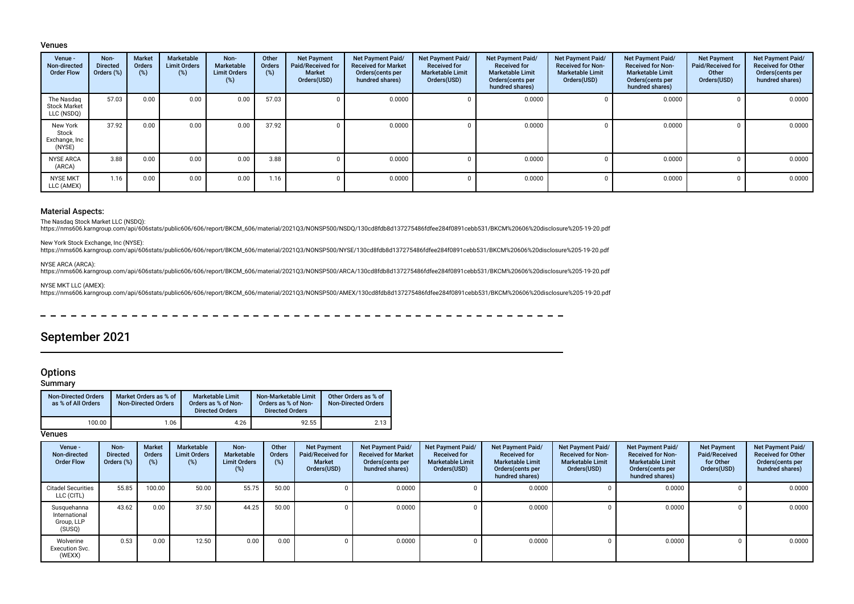#### Venues

| Venue -<br>Non-directed<br><b>Order Flow</b>    | Non-<br><b>Directed</b><br>Orders (%) | <b>Market</b><br>Orders<br>(%) | Marketable<br><b>Limit Orders</b><br>(%) | Non-<br>Marketable<br><b>Limit Orders</b><br>(%) | Other<br>Orders<br>(%) | <b>Net Payment</b><br>Paid/Received for<br><b>Market</b><br>Orders(USD) | <b>Net Payment Paid/</b><br><b>Received for Market</b><br>Orders (cents per<br>hundred shares) | Net Payment Paid/<br><b>Received for</b><br><b>Marketable Limit</b><br>Orders(USD) | Net Payment Paid/<br><b>Received for</b><br><b>Marketable Limit</b><br>Orders(cents per<br>hundred shares) | <b>Net Payment Paid/</b><br><b>Received for Non-</b><br><b>Marketable Limit</b><br>Orders(USD) | <b>Net Payment Paid/</b><br><b>Received for Non-</b><br><b>Marketable Limit</b><br>Orders (cents per<br>hundred shares) | <b>Net Payment</b><br><b>Paid/Received for</b><br>Other<br>Orders(USD) | Net Payment Paid/<br><b>Received for Other</b><br>Orders(cents per<br>hundred shares) |
|-------------------------------------------------|---------------------------------------|--------------------------------|------------------------------------------|--------------------------------------------------|------------------------|-------------------------------------------------------------------------|------------------------------------------------------------------------------------------------|------------------------------------------------------------------------------------|------------------------------------------------------------------------------------------------------------|------------------------------------------------------------------------------------------------|-------------------------------------------------------------------------------------------------------------------------|------------------------------------------------------------------------|---------------------------------------------------------------------------------------|
| The Nasdag<br><b>Stock Market</b><br>LLC (NSDQ) | 57.03                                 | 0.00                           | 0.00                                     | 0.00                                             | 57.03                  |                                                                         | 0.0000                                                                                         |                                                                                    | 0.0000                                                                                                     |                                                                                                | 0.0000                                                                                                                  | 0                                                                      | 0.0000                                                                                |
| New York<br>Stock<br>Exchange, Inc<br>(NYSE)    | 37.92                                 | 0.00                           | 0.00                                     | 0.00                                             | 37.92                  |                                                                         | 0.0000                                                                                         |                                                                                    | 0.0000                                                                                                     |                                                                                                | 0.0000                                                                                                                  | n                                                                      | 0.0000                                                                                |
| <b>NYSE ARCA</b><br>(ARCA)                      | 3.88                                  | 0.00                           | 0.00                                     | 0.00                                             | 3.88                   |                                                                         | 0.0000                                                                                         |                                                                                    | 0.0000                                                                                                     |                                                                                                | 0.0000                                                                                                                  | n                                                                      | 0.0000                                                                                |
| <b>NYSE MKT</b><br>LLC (AMEX)                   | 1.16                                  | 0.00                           | 0.00                                     | 0.00                                             | 1.16                   |                                                                         | 0.0000                                                                                         |                                                                                    | 0.0000                                                                                                     |                                                                                                | 0.0000                                                                                                                  |                                                                        | 0.0000                                                                                |

#### Material Aspects:

The Nasdaq Stock Market LLC (NSDQ):

https://nms606.karngroup.com/api/606stats/public606/606/report/BKCM\_606/material/2021Q3/NONSP500/NSDQ/130cd8fdb8d137275486fdfee284f0891cebb531/BKCM%20606%20disclosure%205-19-20.pdf

New York Stock Exchange, Inc (NYSE):

https://nms606.karngroup.com/api/606stats/public606/606/report/BKCM\_606/material/2021Q3/NONSP500/NYSE/130cd8fdb8d137275486fdfee284f0891cebb531/BKCM%20606%20disclosure%205-19-20.pdf

#### NYSE ARCA (ARCA):

https://nms606.karngroup.com/api/606stats/public606/606/report/BKCM\_606/material/2021Q3/NONSP500/ARCA/130cd8fdb8d137275486fdfee284f0891cebb531/BKCM%20606%20disclosure%205-19-20.pdf

NYSE MKT LLC (AMEX):

https://nms606.karngroup.com/api/606stats/public606/606/report/BKCM\_606/material/2021Q3/NONSP500/AMEX/130cd8fdb8d137275486fdfee284f0891cebb531/BKCM%20606%20disclosure%205-19-20.pdf

 $-$ 

## September 2021

## **Options**

Summary

| <b>Non-Directed Orders</b><br>as % of All Orders | Market Orders as % of<br><b>Non-Directed Orders</b> | <b>Marketable Limit</b><br>Orders as % of Non-<br><b>Directed Orders</b> | Non-Marketable Limit<br>Orders as % of Non-<br><b>Directed Orders</b> | Other Orders as % of<br><b>Non-Directed Orders</b> |
|--------------------------------------------------|-----------------------------------------------------|--------------------------------------------------------------------------|-----------------------------------------------------------------------|----------------------------------------------------|
| 100.00                                           | 1.06                                                | 4.26                                                                     | 92.55                                                                 | 2.13                                               |

| Venue -<br>Non-directed<br><b>Order Flow</b>         | Non-<br><b>Directed</b><br>Orders (%) | <b>Market</b><br><b>Orders</b><br>(%) | Marketable<br><b>Limit Orders</b><br>(%) | Non-<br>Marketable<br><b>Limit Orders</b><br>(%) | Other<br>Orders<br>(%) | <b>Net Payment</b><br>Paid/Received for<br><b>Market</b><br>Orders(USD) | <b>Net Payment Paid/</b><br><b>Received for Market</b><br>Orders(cents per<br>hundred shares) | <b>Net Payment Paid/</b><br><b>Received for</b><br><b>Marketable Limit</b><br>Orders(USD) | Net Payment Paid/<br><b>Received for</b><br><b>Marketable Limit</b><br>Orders (cents per<br>hundred shares) | Net Payment Paid/<br><b>Received for Non-</b><br><b>Marketable Limit</b><br>Orders(USD) | Net Payment Paid/<br><b>Received for Non-</b><br><b>Marketable Limit</b><br>Orders(cents per<br>hundred shares) | <b>Net Payment</b><br>Paid/Received<br>for Other<br>Orders(USD) | Net Payment Paid/<br><b>Received for Other</b><br>Orders(cents per<br>hundred shares) |
|------------------------------------------------------|---------------------------------------|---------------------------------------|------------------------------------------|--------------------------------------------------|------------------------|-------------------------------------------------------------------------|-----------------------------------------------------------------------------------------------|-------------------------------------------------------------------------------------------|-------------------------------------------------------------------------------------------------------------|-----------------------------------------------------------------------------------------|-----------------------------------------------------------------------------------------------------------------|-----------------------------------------------------------------|---------------------------------------------------------------------------------------|
| <b>Citadel Securities</b><br>LLC (CITL)              | 55.85                                 | 100.00                                | 50.00                                    | 55.75                                            | 50.00                  |                                                                         | 0.0000                                                                                        |                                                                                           | 0.0000                                                                                                      |                                                                                         | 0.0000                                                                                                          |                                                                 | 0.0000                                                                                |
| Susquehanna<br>International<br>Group, LLP<br>(SUSQ) | 43.62                                 | 0.00                                  | 37.50                                    | 44.25                                            | 50.00                  |                                                                         | 0.0000                                                                                        |                                                                                           | 0.0000                                                                                                      |                                                                                         | 0.0000                                                                                                          |                                                                 | 0.0000                                                                                |
| Wolverine<br><b>Execution Svc.</b><br>(WEXX)         | 0.53                                  | 0.00                                  | 12.50                                    | 0.00                                             | 0.00                   |                                                                         | 0.0000                                                                                        |                                                                                           | 0.0000                                                                                                      |                                                                                         | 0.0000                                                                                                          |                                                                 | 0.0000                                                                                |